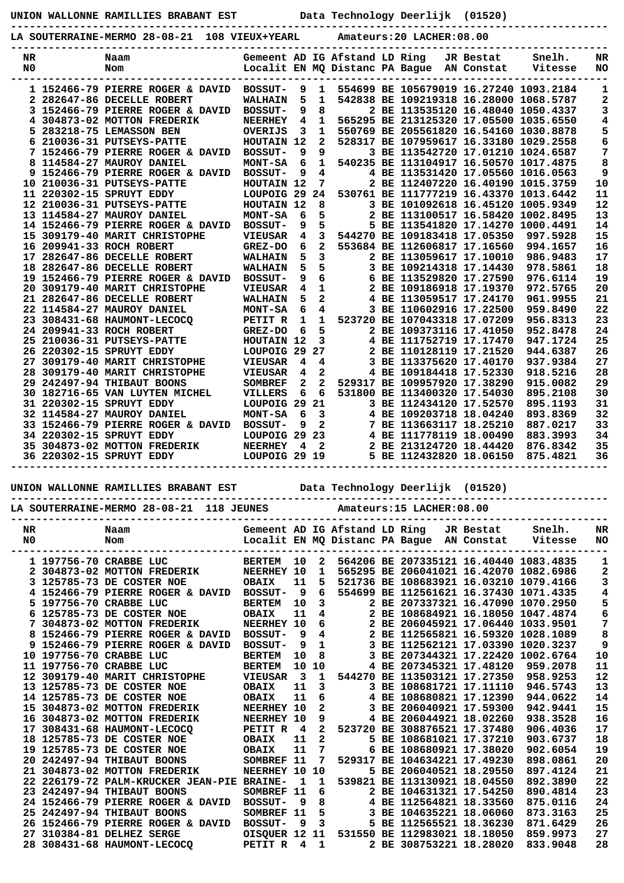**UNION WALLONNE RAMILLIES BRABANT EST Data Technology Deerlijk (01520)**

**-----------------------------------------------------------------------------------------------**

|                                                                                                                                                  |                         | LA SOUTERRAINE-MERMO 28-08-21 108 VIEUX+YEARL                                                                                                                                                                                            |  |                               |                   |                              |  |  | Amateurs: 20 LACHER: 08.00                |  |                                                         |                                                                                                     |                |
|--------------------------------------------------------------------------------------------------------------------------------------------------|-------------------------|------------------------------------------------------------------------------------------------------------------------------------------------------------------------------------------------------------------------------------------|--|-------------------------------|-------------------|------------------------------|--|--|-------------------------------------------|--|---------------------------------------------------------|-----------------------------------------------------------------------------------------------------|----------------|
| NR<br>N <sub>0</sub>                                                                                                                             |                         | Naam<br>Nom                                                                                                                                                                                                                              |  | Gemeent AD IG Afstand LD Ring |                   |                              |  |  | Localit EN MQ Distanc PA Bague AN Constat |  | JR Bestat                                               | Snelh.<br>Vitesse                                                                                   | NR<br>NO       |
|                                                                                                                                                  |                         | 1 152466-79 PIERRE ROGER & DAVID                                                                                                                                                                                                         |  | <b>BOSSUT-</b>                |                   | 1                            |  |  |                                           |  |                                                         | 554699 BE 105679019 16.27240 1093.2184                                                              | 1              |
|                                                                                                                                                  |                         | 2 282647-86 DECELLE ROBERT                                                                                                                                                                                                               |  | <b>WALHAIN</b>                | 9<br>5            | 1                            |  |  |                                           |  |                                                         | 542838 BE 109219318 16.28000 1068.5787                                                              | 2              |
|                                                                                                                                                  |                         | 3 152466-79 PIERRE ROGER & DAVID                                                                                                                                                                                                         |  | <b>BOSSUT-</b>                | 9                 | 8                            |  |  |                                           |  |                                                         | 2 BE 113535120 16.48040 1050.4337                                                                   | 3              |
|                                                                                                                                                  |                         | 4 304873-02 MOTTON FREDERIK                                                                                                                                                                                                              |  | <b>NEERHEY</b>                | 4                 | $\mathbf{1}$                 |  |  |                                           |  |                                                         | 565295 BE 213125320 17.05500 1035.6550                                                              | 4              |
|                                                                                                                                                  |                         | 5 283218-75 LEMASSON BEN                                                                                                                                                                                                                 |  | <b>OVERIJS</b>                | 3                 | 1                            |  |  |                                           |  |                                                         | 550769 BE 205561820 16.54160 1030.8878                                                              | 5              |
|                                                                                                                                                  |                         | 6 210036-31 PUTSEYS-PATTE                                                                                                                                                                                                                |  | HOUTAIN 12                    |                   | $\mathbf{2}$                 |  |  |                                           |  |                                                         | 528317 BE 107959617 16.33180 1029.2558                                                              | 6              |
|                                                                                                                                                  |                         | 7 152466-79 PIERRE ROGER & DAVID                                                                                                                                                                                                         |  | <b>BOSSUT-</b>                | 9                 | 9                            |  |  |                                           |  |                                                         | 3 BE 113542720 17.01210 1024.6587                                                                   | 7              |
|                                                                                                                                                  |                         | 8 114584-27 MAUROY DANIEL                                                                                                                                                                                                                |  | <b>MONT-SA</b>                | 6                 | 1                            |  |  |                                           |  |                                                         | 540235 BE 113104917 16.50570 1017.4875                                                              | 8              |
|                                                                                                                                                  |                         | 9 152466-79 PIERRE ROGER & DAVID                                                                                                                                                                                                         |  | <b>BOSSUT-</b>                | 9                 | 4                            |  |  |                                           |  |                                                         | 4 BE 113531420 17.05560 1016.0563                                                                   | 9              |
|                                                                                                                                                  |                         | 10 210036-31 PUTSEYS-PATTE                                                                                                                                                                                                               |  | HOUTAIN 12                    |                   | 7                            |  |  |                                           |  |                                                         | 2 BE 112407220 16.40190 1015.3759                                                                   | 10             |
|                                                                                                                                                  |                         | 11 220302-15 SPRUYT EDDY                                                                                                                                                                                                                 |  | LOUPOIG 29                    |                   | 24                           |  |  |                                           |  |                                                         | 530761 BE 111777219 16.43370 1013.6442                                                              | 11             |
|                                                                                                                                                  |                         | 12 210036-31 PUTSEYS-PATTE                                                                                                                                                                                                               |  | HOUTAIN 12                    |                   | 8                            |  |  |                                           |  |                                                         | 3 BE 101092618 16.45120 1005.9349                                                                   | 12             |
|                                                                                                                                                  |                         | 13 114584-27 MAUROY DANIEL                                                                                                                                                                                                               |  | <b>MONT-SA</b>                | 6                 | 5                            |  |  |                                           |  |                                                         | 2 BE 113100517 16.58420 1002.8495                                                                   | 13             |
|                                                                                                                                                  |                         | 14 152466-79 PIERRE ROGER & DAVID                                                                                                                                                                                                        |  | <b>BOSSUT-</b>                | 9                 | 5                            |  |  |                                           |  |                                                         | 5 BE 113541820 17.14270 1000.4491                                                                   | 14             |
|                                                                                                                                                  |                         | 15 309179-40 MARIT CHRISTOPHE                                                                                                                                                                                                            |  | <b>VIEUSAR</b>                | 4                 | 3                            |  |  |                                           |  | 544270 BE 109183418 17.05350                            | 997.5928                                                                                            | 15             |
|                                                                                                                                                  |                         | 16 209941-33 ROCH ROBERT                                                                                                                                                                                                                 |  | GREZ-DO                       | 6                 | $\overline{2}$               |  |  |                                           |  | 553684 BE 112606817 17.16560                            | 994.1657                                                                                            | 16             |
|                                                                                                                                                  |                         | 17 282647-86 DECELLE ROBERT                                                                                                                                                                                                              |  | <b>WALHAIN</b>                | 5                 | 3                            |  |  |                                           |  | 2 BE 113059617 17.10010                                 | 986.9483                                                                                            | 17             |
|                                                                                                                                                  |                         | 18 282647-86 DECELLE ROBERT                                                                                                                                                                                                              |  | <b>WALHAIN</b>                | 5                 | 5                            |  |  |                                           |  | 3 BE 109214318 17.14430                                 | 978.5861                                                                                            | 18             |
|                                                                                                                                                  |                         | 19 152466-79 PIERRE ROGER & DAVID                                                                                                                                                                                                        |  | <b>BOSSUT-</b>                | 9                 | 6                            |  |  |                                           |  | 6 BE 113529820 17.27590                                 | 976.6114                                                                                            | 19             |
|                                                                                                                                                  |                         | 20 309179-40 MARIT CHRISTOPHE                                                                                                                                                                                                            |  | <b>VIEUSAR</b>                | 4                 | $\mathbf{1}$                 |  |  |                                           |  | 2 BE 109186918 17.19370                                 | 972.5765                                                                                            | 20             |
|                                                                                                                                                  |                         | 21 282647-86 DECELLE ROBERT                                                                                                                                                                                                              |  | <b>WALHAIN</b>                | 5                 | 2                            |  |  |                                           |  | 4 BE 113059517 17.24170                                 | 961.9955                                                                                            | 21             |
|                                                                                                                                                  |                         | 22 114584-27 MAUROY DANIEL                                                                                                                                                                                                               |  | <b>MONT-SA</b>                | 6                 | 4                            |  |  |                                           |  | 3 BE 110602916 17.22500                                 | 959.8490                                                                                            | 22             |
|                                                                                                                                                  |                         | 23 308431-68 HAUMONT-LECOCQ                                                                                                                                                                                                              |  | PETIT R                       | 1                 | 1                            |  |  |                                           |  | 523720 BE 107043318 17.07209                            | 956.8313                                                                                            | 23             |
|                                                                                                                                                  |                         | 24 209941-33 ROCH ROBERT                                                                                                                                                                                                                 |  | GREZ-DO                       | 6                 | 5                            |  |  |                                           |  | 2 BE 109373116 17.41050                                 | 952.8478                                                                                            | 24             |
|                                                                                                                                                  |                         | 25 210036-31 PUTSEYS-PATTE                                                                                                                                                                                                               |  | HOUTAIN 12                    |                   | $\mathbf{3}$                 |  |  |                                           |  | 4 BE 111752719 17.17470                                 | 947.1724                                                                                            | 25             |
|                                                                                                                                                  |                         | 26 220302-15 SPRUYT EDDY                                                                                                                                                                                                                 |  | LOUPOIG 29                    |                   | 27                           |  |  |                                           |  | 2 BE 110128119 17.21520                                 | 944.6387                                                                                            | 26             |
|                                                                                                                                                  |                         | 27 309179-40 MARIT CHRISTOPHE                                                                                                                                                                                                            |  | <b>VIEUSAR</b>                | 4                 | 4                            |  |  |                                           |  | 3 BE 113375620 17.40170                                 | 937.9384                                                                                            | 27             |
|                                                                                                                                                  |                         | 28 309179-40 MARIT CHRISTOPHE<br>29 242497-94 THIBAUT BOONS                                                                                                                                                                              |  | <b>VIEUSAR</b>                | 4<br>$\mathbf{2}$ | $\mathbf{2}$<br>$\mathbf{2}$ |  |  |                                           |  | 4 BE 109184418 17.52330<br>529317 BE 109957920 17.38290 | 918.5216<br>915.0082                                                                                | 28<br>29       |
|                                                                                                                                                  |                         | 30 182716-65 VAN LUYTEN MICHEL                                                                                                                                                                                                           |  | <b>SOMBREF</b><br>VILLERS     | 6                 | 6                            |  |  |                                           |  | 531800 BE 113400320 17.54030                            | 895.2108                                                                                            | 30             |
|                                                                                                                                                  |                         | 31 220302-15 SPRUYT EDDY                                                                                                                                                                                                                 |  | LOUPOIG 29                    |                   | 21                           |  |  |                                           |  | 3 BE 112434120 17.52570                                 | 895.1193                                                                                            | 31             |
|                                                                                                                                                  |                         | 32 114584-27 MAUROY DANIEL                                                                                                                                                                                                               |  | <b>MONT-SA</b>                | 6                 | 3                            |  |  |                                           |  | 4 BE 109203718 18.04240                                 | 893.8369                                                                                            | 32             |
|                                                                                                                                                  |                         | 33 152466-79 PIERRE ROGER & DAVID                                                                                                                                                                                                        |  | <b>BOSSUT-</b>                | 9                 | 2                            |  |  |                                           |  | 7 BE 113663117 18.25210                                 | 887.0217                                                                                            | 33             |
|                                                                                                                                                  |                         | 34 220302-15 SPRUYT EDDY                                                                                                                                                                                                                 |  | LOUPOIG 29 23                 |                   |                              |  |  |                                           |  | 4 BE 111778119 18.00490                                 | 883.3993                                                                                            | 34             |
|                                                                                                                                                  |                         | 35 304873-02 MOTTON FREDERIK                                                                                                                                                                                                             |  | <b>NEERHEY</b>                | 4                 | 2                            |  |  |                                           |  | 2 BE 213124720 18.44420                                 | 876.8342                                                                                            | 35             |
|                                                                                                                                                  |                         | 36 220302-15 SPRUYT EDDY                                                                                                                                                                                                                 |  | LOUPOIG 29 19                 |                   |                              |  |  |                                           |  | 5 BE 112432820 18.06150                                 | 875.4821                                                                                            | 36             |
| UNION WALLONNE RAMILLIES BRABANT EST<br>Data Technology Deerlijk<br>(01520)<br>LA SOUTERRAINE-MERMO 28-08-21 118 JEUNES Amateurs:15 LACHER:08.00 |                         |                                                                                                                                                                                                                                          |  |                               |                   |                              |  |  |                                           |  |                                                         |                                                                                                     |                |
|                                                                                                                                                  |                         |                                                                                                                                                                                                                                          |  |                               |                   |                              |  |  |                                           |  |                                                         |                                                                                                     |                |
| NR                                                                                                                                               |                         | Naam                                                                                                                                                                                                                                     |  |                               |                   |                              |  |  |                                           |  |                                                         |                                                                                                     | NR             |
| N0                                                                                                                                               |                         | Nom                                                                                                                                                                                                                                      |  |                               |                   |                              |  |  |                                           |  |                                                         | Gemeent AD IG Afstand LD Ring JR Bestat Snelh.<br>Localit EN MQ Distanc PA Bague AN Constat Vitesse | NO.            |
|                                                                                                                                                  |                         | ---------                                                                                                                                                                                                                                |  | -----------------             |                   |                              |  |  |                                           |  |                                                         |                                                                                                     | -----          |
|                                                                                                                                                  |                         | 1 197756-70 CRABBE LUC                                                                                                                                                                                                                   |  |                               |                   |                              |  |  |                                           |  |                                                         | BERTEM 10 2 564206 BE 207335121 16.40440 1083.4835                                                  | 1              |
|                                                                                                                                                  |                         | 2 304873-02 MOTTON FREDERIK                                                                                                                                                                                                              |  | NEERHEY 10                    |                   |                              |  |  |                                           |  |                                                         | 1 565295 BE 206041021 16.42070 1082.6986                                                            | 2              |
|                                                                                                                                                  |                         | 3 125785-73 DE COSTER NOE<br>4 152466-79 PIERRE ROGER & DAVID BOSSUT- 9 6 554699 BE 112561621 16.37430 1071.4335                                                                                                                         |  | <b>OBAIX</b>                  |                   |                              |  |  |                                           |  |                                                         | 11 5 521736 BE 108683921 16.03210 1079.4166                                                         | 3<br>$\bf{4}$  |
|                                                                                                                                                  | 5 197756-70 CRABBE LUC  |                                                                                                                                                                                                                                          |  |                               |                   |                              |  |  |                                           |  |                                                         | BERTEM 10 3 2 BE 207337321 16.47090 1070.2950                                                       |                |
|                                                                                                                                                  |                         |                                                                                                                                                                                                                                          |  |                               |                   |                              |  |  |                                           |  |                                                         |                                                                                                     | $\frac{5}{6}$  |
|                                                                                                                                                  |                         |                                                                                                                                                                                                                                          |  |                               |                   |                              |  |  |                                           |  |                                                         |                                                                                                     | $\overline{7}$ |
|                                                                                                                                                  |                         | 3 125785-73 DE COSTER NOE<br>7 304873-02 MOTTON FREDERIK REERHEY 10 6<br>8 152466-79 PIERRE ROGER & DAVID BOSSUT- 9 4<br>9 152466-79 PIERRE ROGER & DAVID BOSSUT- 9 4<br>9 152466-79 PIERRE ROGER & DAVID BOSSUT- 9 1<br>8 16.59320 1028 |  |                               |                   |                              |  |  |                                           |  |                                                         |                                                                                                     | 8              |
|                                                                                                                                                  |                         |                                                                                                                                                                                                                                          |  |                               |                   |                              |  |  |                                           |  |                                                         |                                                                                                     | 9              |
|                                                                                                                                                  |                         | 10 197756-70 CRABBE LUC                                                                                                                                                                                                                  |  |                               |                   |                              |  |  |                                           |  |                                                         |                                                                                                     | 10             |
|                                                                                                                                                  | 11 197756-70 CRABBE LUC |                                                                                                                                                                                                                                          |  | <b>BERTEM</b>                 |                   | 10 10                        |  |  |                                           |  |                                                         | BERTEM 10 8 3 BE 207344321 17.22420 1002.6764<br>BERTEM 10 10 4 BE 207345321 17.48120 959.2078      | 11             |
|                                                                                                                                                  |                         | 12 309179-40 MARIT CHRISTOPHE VIEUSAR 3 1 544270 BE 113503121 17.27350                                                                                                                                                                   |  |                               |                   |                              |  |  |                                           |  |                                                         | 958.9253                                                                                            | 12             |
|                                                                                                                                                  |                         | 13 125785-73 DE COSTER NOE                                                                                                                                                                                                               |  |                               | 11                | $\overline{\mathbf{3}}$      |  |  |                                           |  |                                                         | 3 BE 108681721 17.11110 946.5743                                                                    | 13             |
|                                                                                                                                                  |                         | 14 125785-73 DE COSTER NOE                                                                                                                                                                                                               |  | <b>OBAIX<br/>OBAIX</b>        |                   | 11 6                         |  |  |                                           |  |                                                         | 4 BE 108680821 17.12390 944.0622                                                                    | 14             |
|                                                                                                                                                  |                         | 15 304873-02 MOTTON FREDERIK                                                                                                                                                                                                             |  | <b>NEERHEY 10</b>             |                   | $\overline{\mathbf{2}}$      |  |  |                                           |  |                                                         | 3 BE 206040921 17.59300 942.9441                                                                    | 15             |
|                                                                                                                                                  |                         | 16 304873-02 MOTTON FREDERIK NEERHEY 10 9 4 BE 206044921 18.02260 938.3528<br>17 308431-68 HAUMONT-LECOCQ PETIT R 4 2 523720 BE 308876521 17.37480 906.4036                                                                              |  |                               |                   |                              |  |  |                                           |  |                                                         |                                                                                                     | 16             |
|                                                                                                                                                  |                         |                                                                                                                                                                                                                                          |  |                               |                   |                              |  |  |                                           |  |                                                         |                                                                                                     | 17             |

 **18 125785-73 DE COSTER NOE OBAIX 11 2 5 BE 108681021 17.37210 903.6737 18 19 125785-73 DE COSTER NOE OBAIX 11 7 6 BE 108680921 17.38020 902.6054 19**  12220020102012020202110020211002021100202110020211002021100202110020211002021100202110020211002021<br>
20 242497-94 THIBAUT BOONS SOMBREF 11 7 529317 BE 104634221 17.49230 898.0861 20<br>
22 226179-72 PALM-KRUCKER JEAN-PIE BRAIN  **21 304873-02 MOTTON FREDERIK NEERHEY 10 10 5 BE 206040521 18.29550 897.4124 21 22 226179-72 PALM-KRUCKER JEAN-PIE BRAINE- 1 1 539821 BE 113130921 18.04550 892.3890 22 23 242497-94 THIBAUT BOONS SOMBREF 11 6 2 BE 104631321 17.54250 890.4814 23 24 152466-79 PIERRE ROGER & DAVID BOSSUT- 9 8 4 BE 112564821 18.33560 875.0116 24 25 242497-94 THIBAUT BOONS SOMBREF 11 5 3 BE 104635221 18.06060 873.3163 25 26 152466-79 PIERRE ROGER & DAVID BOSSUT- 9 3 5 BE 112565521 18.36230 871.6429 26 27 310384-81 DELHEZ SERGE OISQUER 12 11 531550 BE 112983021 18.18050 859.9973 27** 

 **28 308431-68 HAUMONT-LECOCQ PETIT R 4 1 2 BE 308753221 18.28020 833.9048 28**